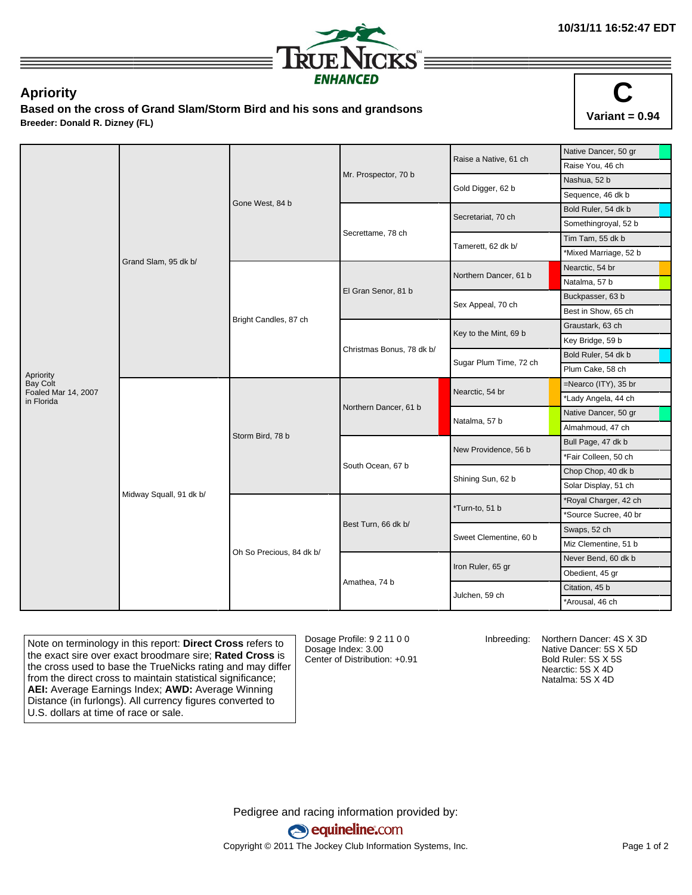

## **Apriority**

**Based on the cross of Grand Slam/Storm Bird and his sons and grandsons Breeder: Donald R. Dizney (FL)**



|                                   |                         |                          |                           | Raise a Native, 61 ch  | Native Dancer, 50 gr                                                                                                                                                                                                                                                                                                                                                                                                        |
|-----------------------------------|-------------------------|--------------------------|---------------------------|------------------------|-----------------------------------------------------------------------------------------------------------------------------------------------------------------------------------------------------------------------------------------------------------------------------------------------------------------------------------------------------------------------------------------------------------------------------|
|                                   |                         |                          |                           |                        | Raise You, 46 ch                                                                                                                                                                                                                                                                                                                                                                                                            |
|                                   |                         |                          | Mr. Prospector, 70 b      |                        | Nashua, 52 b                                                                                                                                                                                                                                                                                                                                                                                                                |
|                                   |                         | Gone West, 84 b          |                           | Gold Digger, 62 b      | Sequence, 46 dk b<br>Bold Ruler, 54 dk b<br>Somethingroyal, 52 b<br>Tim Tam, 55 dk b<br>*Mixed Marriage, 52 b<br>Nearctic, 54 br<br>Natalma, 57 b<br>Buckpasser, 63 b<br>Best in Show, 65 ch<br>Graustark, 63 ch<br>Key Bridge, 59 b<br>Bold Ruler, 54 dk b<br>Plum Cake, 58 ch<br>$=$ Nearco (ITY), 35 br<br>*Lady Angela, 44 ch<br>Native Dancer, 50 gr<br>Almahmoud, 47 ch<br>Bull Page, 47 dk b<br>*Fair Colleen, 50 ch |
|                                   |                         |                          |                           | Secretariat, 70 ch     |                                                                                                                                                                                                                                                                                                                                                                                                                             |
|                                   |                         |                          |                           |                        |                                                                                                                                                                                                                                                                                                                                                                                                                             |
|                                   |                         |                          | Secrettame, 78 ch         |                        |                                                                                                                                                                                                                                                                                                                                                                                                                             |
|                                   |                         |                          |                           | Tamerett, 62 dk b/     |                                                                                                                                                                                                                                                                                                                                                                                                                             |
|                                   | Grand Slam, 95 dk b/    |                          |                           | Northern Dancer, 61 b  |                                                                                                                                                                                                                                                                                                                                                                                                                             |
|                                   |                         |                          |                           |                        |                                                                                                                                                                                                                                                                                                                                                                                                                             |
|                                   |                         |                          | El Gran Senor, 81 b       |                        |                                                                                                                                                                                                                                                                                                                                                                                                                             |
|                                   |                         |                          |                           | Sex Appeal, 70 ch      |                                                                                                                                                                                                                                                                                                                                                                                                                             |
|                                   |                         | Bright Candles, 87 ch    |                           |                        |                                                                                                                                                                                                                                                                                                                                                                                                                             |
|                                   |                         |                          |                           | Key to the Mint, 69 b  |                                                                                                                                                                                                                                                                                                                                                                                                                             |
|                                   |                         |                          | Christmas Bonus, 78 dk b/ | Sugar Plum Time, 72 ch |                                                                                                                                                                                                                                                                                                                                                                                                                             |
| Apriority                         |                         |                          |                           |                        |                                                                                                                                                                                                                                                                                                                                                                                                                             |
| <b>Bay Colt</b>                   |                         |                          |                           | Nearctic, 54 br        |                                                                                                                                                                                                                                                                                                                                                                                                                             |
| Foaled Mar 14, 2007<br>in Florida |                         |                          |                           |                        |                                                                                                                                                                                                                                                                                                                                                                                                                             |
|                                   |                         |                          | Northern Dancer, 61 b     |                        |                                                                                                                                                                                                                                                                                                                                                                                                                             |
|                                   |                         | Storm Bird, 78 b         |                           | Natalma, 57 b          |                                                                                                                                                                                                                                                                                                                                                                                                                             |
|                                   |                         |                          |                           | New Providence, 56 b   | Chop Chop, 40 dk b<br>Solar Display, 51 ch<br>*Royal Charger, 42 ch<br>*Source Sucree, 40 br<br>Swaps, 52 ch<br>Miz Clementine, 51 b<br>Never Bend, 60 dk b<br>Obedient, 45 gr<br>Citation, 45 b<br>*Arousal, 46 ch                                                                                                                                                                                                         |
|                                   |                         |                          |                           |                        |                                                                                                                                                                                                                                                                                                                                                                                                                             |
|                                   |                         |                          | South Ocean, 67 b         | Shining Sun, 62 b      |                                                                                                                                                                                                                                                                                                                                                                                                                             |
|                                   |                         |                          |                           |                        |                                                                                                                                                                                                                                                                                                                                                                                                                             |
|                                   | Midway Squall, 91 dk b/ |                          |                           | *Turn-to, 51 b         |                                                                                                                                                                                                                                                                                                                                                                                                                             |
|                                   |                         |                          |                           |                        |                                                                                                                                                                                                                                                                                                                                                                                                                             |
|                                   |                         |                          | Best Turn, 66 dk b/       | Sweet Clementine, 60 b |                                                                                                                                                                                                                                                                                                                                                                                                                             |
|                                   |                         |                          |                           |                        |                                                                                                                                                                                                                                                                                                                                                                                                                             |
|                                   |                         | Oh So Precious, 84 dk b/ |                           | Iron Ruler, 65 gr      |                                                                                                                                                                                                                                                                                                                                                                                                                             |
|                                   |                         |                          |                           |                        |                                                                                                                                                                                                                                                                                                                                                                                                                             |
|                                   |                         |                          | Amathea, 74 b             |                        |                                                                                                                                                                                                                                                                                                                                                                                                                             |
|                                   |                         |                          |                           | Julchen, 59 ch         |                                                                                                                                                                                                                                                                                                                                                                                                                             |

Note on terminology in this report: **Direct Cross** refers to the exact sire over exact broodmare sire; **Rated Cross** is the cross used to base the TrueNicks rating and may differ from the direct cross to maintain statistical significance; **AEI:** Average Earnings Index; **AWD:** Average Winning Distance (in furlongs). All currency figures converted to U.S. dollars at time of race or sale.

Dosage Profile: 9 2 11 0 0 Dosage Index: 3.00 Center of Distribution: +0.91

Inbreeding: Northern Dancer: 4S X 3D Native Dancer: 5S X 5D Bold Ruler: 5S X 5S Nearctic: 5S X 4D Natalma: 5S X 4D

Pedigree and racing information provided by: equineline.com Copyright © 2011 The Jockey Club Information Systems, Inc. example 2012 Page 1 of 2